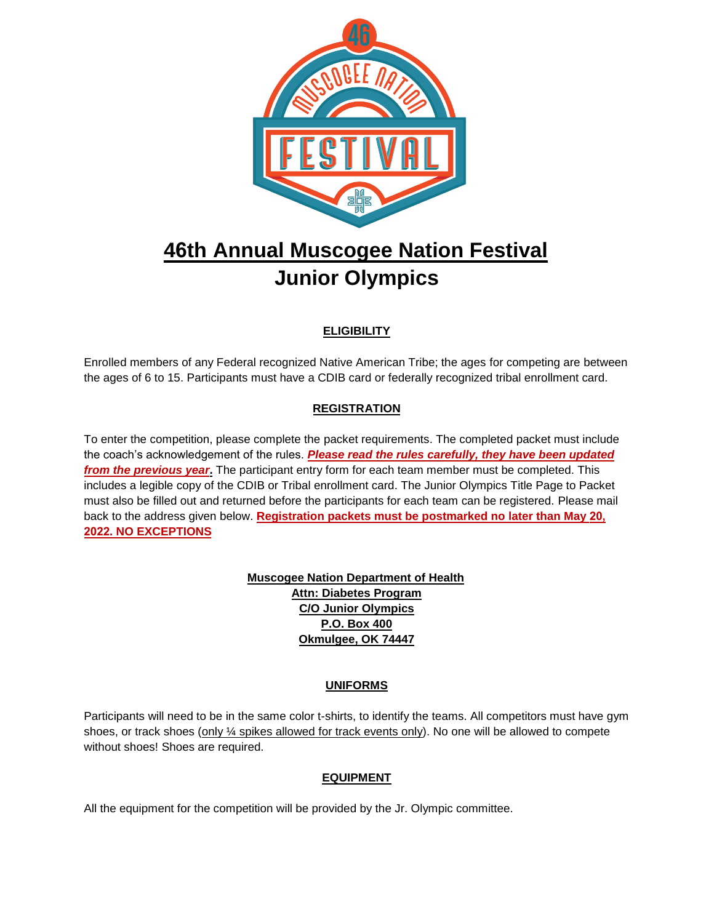

# **46th Annual Muscogee Nation Festival Junior Olympics**

### **ELIGIBILITY**

Enrolled members of any Federal recognized Native American Tribe; the ages for competing are between the ages of 6 to 15. Participants must have a CDIB card or federally recognized tribal enrollment card.

#### **REGISTRATION**

To enter the competition, please complete the packet requirements. The completed packet must include the coach's acknowledgement of the rules. *Please read the rules carefully, they have been updated from the previous year***.** The participant entry form for each team member must be completed. This includes a legible copy of the CDIB or Tribal enrollment card. The Junior Olympics Title Page to Packet must also be filled out and returned before the participants for each team can be registered. Please mail back to the address given below. **Registration packets must be postmarked no later than May 20, 2022. NO EXCEPTIONS**

> **Muscogee Nation Department of Health Attn: Diabetes Program C/O Junior Olympics P.O. Box 400 Okmulgee, OK 74447**

#### **UNIFORMS**

Participants will need to be in the same color t-shirts, to identify the teams. All competitors must have gym shoes, or track shoes (only ¼ spikes allowed for track events only). No one will be allowed to compete without shoes! Shoes are required.

#### **EQUIPMENT**

All the equipment for the competition will be provided by the Jr. Olympic committee.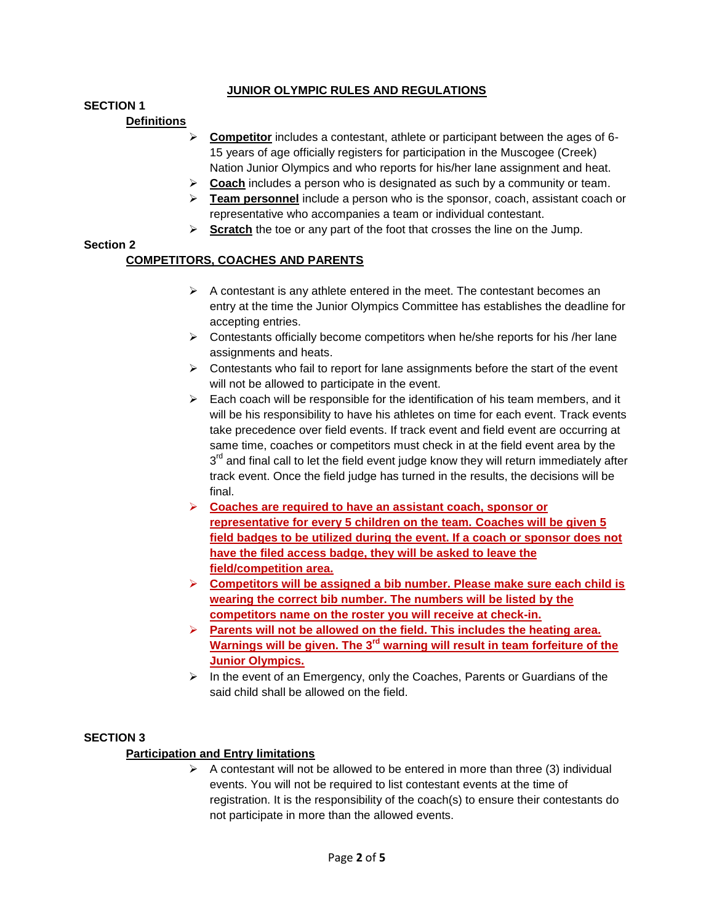#### **JUNIOR OLYMPIC RULES AND REGULATIONS**

#### **SECTION 1**

#### **Definitions**

- **Competitor** includes a contestant, athlete or participant between the ages of 6- 15 years of age officially registers for participation in the Muscogee (Creek) Nation Junior Olympics and who reports for his/her lane assignment and heat.
- **Coach** includes a person who is designated as such by a community or team.
- **Feam personnel** include a person who is the sponsor, coach, assistant coach or representative who accompanies a team or individual contestant.
- **Scratch** the toe or any part of the foot that crosses the line on the Jump.

#### **Section 2**

#### **COMPETITORS, COACHES AND PARENTS**

- $\triangleright$  A contestant is any athlete entered in the meet. The contestant becomes an entry at the time the Junior Olympics Committee has establishes the deadline for accepting entries.
- $\triangleright$  Contestants officially become competitors when he/she reports for his /her lane assignments and heats.
- $\triangleright$  Contestants who fail to report for lane assignments before the start of the event will not be allowed to participate in the event.
- $\triangleright$  Each coach will be responsible for the identification of his team members, and it will be his responsibility to have his athletes on time for each event. Track events take precedence over field events. If track event and field event are occurring at same time, coaches or competitors must check in at the field event area by the  $3<sup>rd</sup>$  and final call to let the field event judge know they will return immediately after track event. Once the field judge has turned in the results, the decisions will be final.
- **Coaches are required to have an assistant coach, sponsor or representative for every 5 children on the team. Coaches will be given 5 field badges to be utilized during the event. If a coach or sponsor does not have the filed access badge, they will be asked to leave the field/competition area.**
- **Competitors will be assigned a bib number. Please make sure each child is wearing the correct bib number. The numbers will be listed by the competitors name on the roster you will receive at check-in.**
- **Parents will not be allowed on the field. This includes the heating area. Warnings will be given. The 3rd warning will result in team forfeiture of the Junior Olympics.**
- $\triangleright$  In the event of an Emergency, only the Coaches, Parents or Guardians of the said child shall be allowed on the field.

#### **SECTION 3**

#### **Participation and Entry limitations**

 $\triangleright$  A contestant will not be allowed to be entered in more than three (3) individual events. You will not be required to list contestant events at the time of registration. It is the responsibility of the coach(s) to ensure their contestants do not participate in more than the allowed events.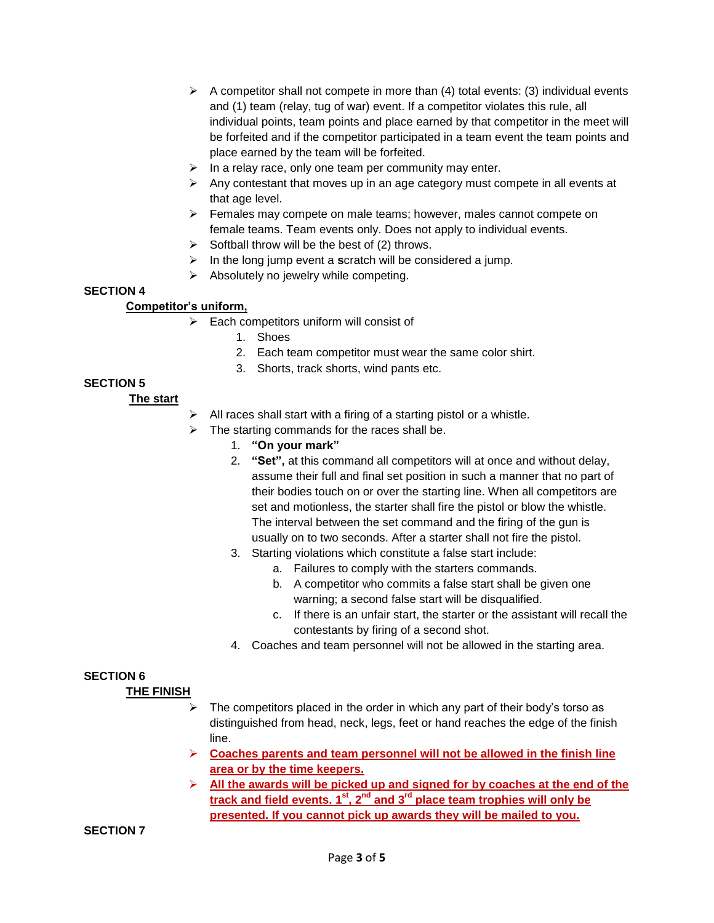- $\triangleright$  A competitor shall not compete in more than (4) total events: (3) individual events and (1) team (relay, tug of war) event. If a competitor violates this rule, all individual points, team points and place earned by that competitor in the meet will be forfeited and if the competitor participated in a team event the team points and place earned by the team will be forfeited.
- $\triangleright$  In a relay race, only one team per community may enter.
- $\triangleright$  Any contestant that moves up in an age category must compete in all events at that age level.
- $\triangleright$  Females may compete on male teams; however, males cannot compete on female teams. Team events only. Does not apply to individual events.
- $\triangleright$  Softball throw will be the best of (2) throws.
- In the long jump event a **s**cratch will be considered a jump.
- $\triangleright$  Absolutely no jewelry while competing.

#### **SECTION 4**

#### **Competitor's uniform,**

- $\triangleright$  Each competitors uniform will consist of
	- 1. Shoes
	- 2. Each team competitor must wear the same color shirt.
	- 3. Shorts, track shorts, wind pants etc.

#### **SECTION 5**

#### **The start**

- $\triangleright$  All races shall start with a firing of a starting pistol or a whistle.
- $\triangleright$  The starting commands for the races shall be.
	- 1. **"On your mark"**
	- 2. **"Set",** at this command all competitors will at once and without delay, assume their full and final set position in such a manner that no part of their bodies touch on or over the starting line. When all competitors are set and motionless, the starter shall fire the pistol or blow the whistle. The interval between the set command and the firing of the gun is usually on to two seconds. After a starter shall not fire the pistol.
	- 3. Starting violations which constitute a false start include:
		- a. Failures to comply with the starters commands.
		- b. A competitor who commits a false start shall be given one warning; a second false start will be disqualified.
		- c. If there is an unfair start, the starter or the assistant will recall the contestants by firing of a second shot.
	- 4. Coaches and team personnel will not be allowed in the starting area.

#### **SECTION 6**

#### **THE FINISH**

- The competitors placed in the order in which any part of their body's torso as distinguished from head, neck, legs, feet or hand reaches the edge of the finish line.
- **Coaches parents and team personnel will not be allowed in the finish line area or by the time keepers.**
- **All the awards will be picked up and signed for by coaches at the end of the track and field events. 1st, 2nd and 3rd place team trophies will only be presented. If you cannot pick up awards they will be mailed to you.**

**SECTION 7**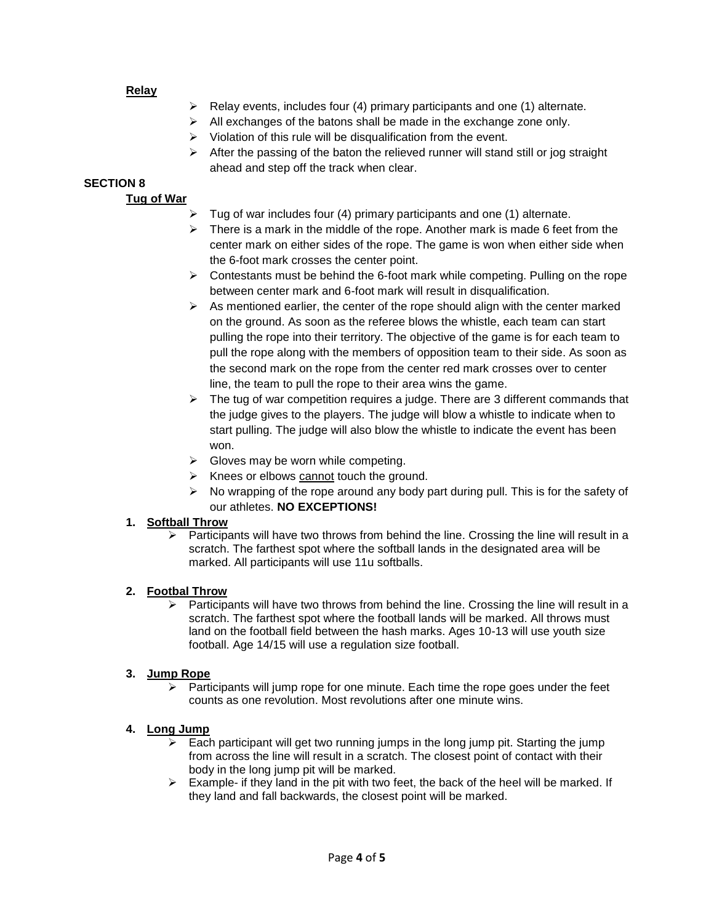#### **Relay**

- $\triangleright$  Relay events, includes four (4) primary participants and one (1) alternate.
- $\triangleright$  All exchanges of the batons shall be made in the exchange zone only.
- $\triangleright$  Violation of this rule will be disqualification from the event.
- $\triangleright$  After the passing of the baton the relieved runner will stand still or jog straight ahead and step off the track when clear.

#### **SECTION 8**

#### **Tug of War**

- $\triangleright$  Tug of war includes four (4) primary participants and one (1) alternate.
- $\triangleright$  There is a mark in the middle of the rope. Another mark is made 6 feet from the center mark on either sides of the rope. The game is won when either side when the 6-foot mark crosses the center point.
- $\triangleright$  Contestants must be behind the 6-foot mark while competing. Pulling on the rope between center mark and 6-foot mark will result in disqualification.
- $\triangleright$  As mentioned earlier, the center of the rope should align with the center marked on the ground. As soon as the referee blows the whistle, each team can start pulling the rope into their territory. The objective of the game is for each team to pull the rope along with the members of opposition team to their side. As soon as the second mark on the rope from the center red mark crosses over to center line, the team to pull the rope to their area wins the game.
- $\triangleright$  The tug of war competition requires a judge. There are 3 different commands that the judge gives to the players. The judge will blow a whistle to indicate when to start pulling. The judge will also blow the whistle to indicate the event has been won.
- $\triangleright$  Gloves may be worn while competing.
- $\triangleright$  Knees or elbows cannot touch the ground.
- $\triangleright$  No wrapping of the rope around any body part during pull. This is for the safety of our athletes. **NO EXCEPTIONS!**

#### **1. Softball Throw**

 Participants will have two throws from behind the line. Crossing the line will result in a scratch. The farthest spot where the softball lands in the designated area will be marked. All participants will use 11u softballs.

#### **2. Footbal Throw**

 $\triangleright$  Participants will have two throws from behind the line. Crossing the line will result in a scratch. The farthest spot where the football lands will be marked. All throws must land on the football field between the hash marks. Ages 10-13 will use youth size football. Age 14/15 will use a regulation size football.

#### **3. Jump Rope**

 $\triangleright$  Participants will jump rope for one minute. Each time the rope goes under the feet counts as one revolution. Most revolutions after one minute wins.

#### **4. Long Jump**

- $\triangleright$  Each participant will get two running jumps in the long jump pit. Starting the jump from across the line will result in a scratch. The closest point of contact with their body in the long jump pit will be marked.
- $\triangleright$  Example- if they land in the pit with two feet, the back of the heel will be marked. If they land and fall backwards, the closest point will be marked.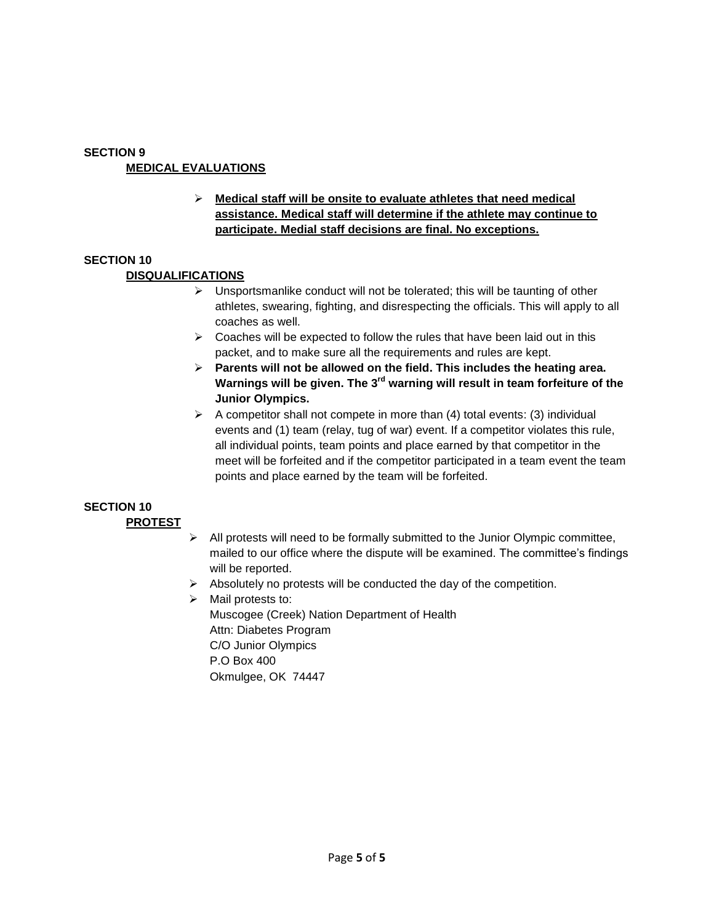#### **SECTION 9 MEDICAL EVALUATIONS**

 **Medical staff will be onsite to evaluate athletes that need medical assistance. Medical staff will determine if the athlete may continue to participate. Medial staff decisions are final. No exceptions.**

#### **SECTION 10**

#### **DISQUALIFICATIONS**

- $\triangleright$  Unsportsmanlike conduct will not be tolerated; this will be taunting of other athletes, swearing, fighting, and disrespecting the officials. This will apply to all coaches as well.
- $\triangleright$  Coaches will be expected to follow the rules that have been laid out in this packet, and to make sure all the requirements and rules are kept.
- **Parents will not be allowed on the field. This includes the heating area. Warnings will be given. The 3rd warning will result in team forfeiture of the Junior Olympics.**
- $\triangleright$  A competitor shall not compete in more than (4) total events: (3) individual events and (1) team (relay, tug of war) event. If a competitor violates this rule, all individual points, team points and place earned by that competitor in the meet will be forfeited and if the competitor participated in a team event the team points and place earned by the team will be forfeited.

# **SECTION 10**

#### **PROTEST**

- $\triangleright$  All protests will need to be formally submitted to the Junior Olympic committee, mailed to our office where the dispute will be examined. The committee's findings will be reported.
- $\triangleright$  Absolutely no protests will be conducted the day of the competition.
- $\triangleright$  Mail protests to: Muscogee (Creek) Nation Department of Health Attn: Diabetes Program C/O Junior Olympics P.O Box 400 Okmulgee, OK 74447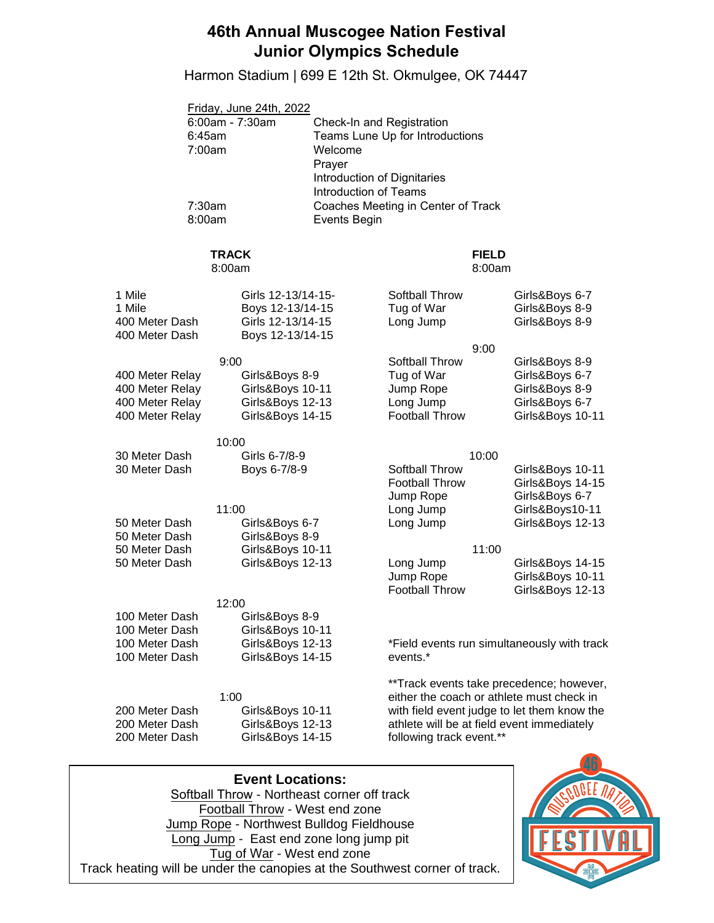## **46th Annual Muscogee Nation Festival Junior Olympics Schedule**

Harmon Stadium | 699 E 12th St. Okmulgee, OK 74447

| Friday, June 24th, 2022 |                                    |
|-------------------------|------------------------------------|
| 6:00am - 7:30am         | Check-In and Registration          |
| 6:45am                  | Teams Lune Up for Introductions    |
| 7:00am                  | Welcome                            |
|                         | Prayer                             |
|                         | Introduction of Dignitaries        |
|                         | <b>Introduction of Teams</b>       |
| 7:30am                  | Coaches Meeting in Center of Track |
| 8:00am                  | Events Begin                       |
|                         |                                    |

#### **TRACK**

#### 8:00am

#### **FIELD**  8:00am

| 1 Mile<br>1 Mile<br>400 Meter Dash<br>400 Meter Dash                     | Girls 12-13/14-15-<br>Boys 12-13/14-15<br>Girls 12-13/14-15<br>Boys 12-13/14-15     | Softball Throw<br>Tug of War<br>Long Jump                                        | Girls&Boys 6-7<br>Girls&Boys 8-9<br>Girls&Boys 8-9                                                                                                                                 |
|--------------------------------------------------------------------------|-------------------------------------------------------------------------------------|----------------------------------------------------------------------------------|------------------------------------------------------------------------------------------------------------------------------------------------------------------------------------|
| 400 Meter Relay<br>400 Meter Relay<br>400 Meter Relay<br>400 Meter Relay | 9:00<br>Girls&Boys 8-9<br>Girls&Boys 10-11<br>Girls&Boys 12-13<br>Girls&Boys 14-15  | 9:00<br>Softball Throw<br>Tug of War<br>Jump Rope<br>Long Jump<br>Football Throw | Girls&Boys 8-9<br>Girls&Boys 6-7<br>Girls&Boys 8-9<br>Girls&Boys 6-7<br>Girls&Boys 10-11                                                                                           |
| 30 Meter Dash<br>30 Meter Dash                                           | 10:00<br>Girls 6-7/8-9<br>Boys 6-7/8-9                                              | 10:00<br>Softball Throw<br>Football Throw<br>Jump Rope                           | Girls&Boys 10-11<br>Girls&Boys 14-15<br>Girls&Boys 6-7                                                                                                                             |
| 50 Meter Dash<br>50 Meter Dash                                           | 11:00<br>Girls&Boys 6-7<br>Girls&Boys 8-9                                           | Long Jump<br>Long Jump                                                           | Girls&Boys10-11<br>Girls&Boys 12-13                                                                                                                                                |
| 50 Meter Dash<br>50 Meter Dash                                           | Girls&Boys 10-11<br>Girls&Boys 12-13                                                | 11:00<br>Long Jump<br>Jump Rope<br><b>Football Throw</b>                         | Girls&Boys 14-15<br>Girls&Boys 10-11<br>Girls&Boys 12-13                                                                                                                           |
| 100 Meter Dash<br>100 Meter Dash<br>100 Meter Dash<br>100 Meter Dash     | 12:00<br>Girls&Boys 8-9<br>Girls&Boys 10-11<br>Girls&Boys 12-13<br>Girls&Boys 14-15 | events.*                                                                         | *Field events run simultaneously with track                                                                                                                                        |
| 200 Meter Dash<br>200 Meter Dash<br>200 Meter Dash                       | 1:00<br>Girls&Boys 10-11<br>Girls&Boys 12-13<br>Girls&Boys 14-15                    | following track event.**                                                         | **Track events take precedence; however,<br>either the coach or athlete must check in<br>with field event judge to let them know the<br>athlete will be at field event immediately |

**Event Locations:**  Softball Throw - Northeast corner off track Football Throw - West end zone Jump Rope - Northwest Bulldog Fieldhouse Long Jump - East end zone long jump pit Tug of War - West end zone Track heating will be under the canopies at the Southwest corner of track.

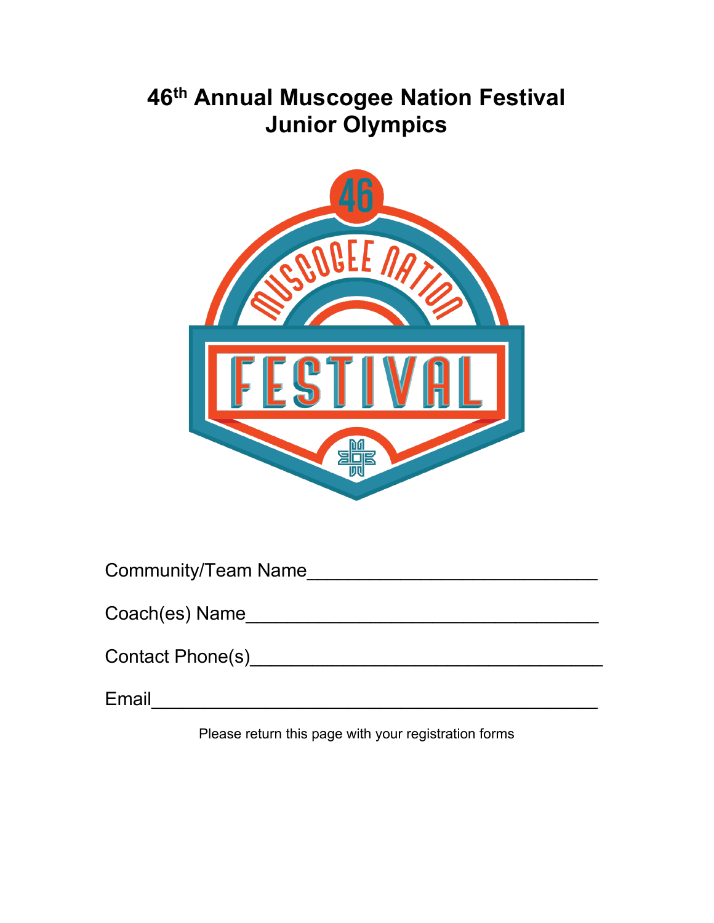# **46th Annual Muscogee Nation Festival Junior Olympics**



| <b>Community/Team Name</b> |  |  |
|----------------------------|--|--|
|                            |  |  |

| Coach(es) Name |  |
|----------------|--|
|                |  |

Email\_\_\_\_\_\_\_\_\_\_\_\_\_\_\_\_\_\_\_\_\_\_\_\_\_\_\_\_\_\_\_\_\_\_\_\_\_\_\_\_\_\_\_

Please return this page with your registration forms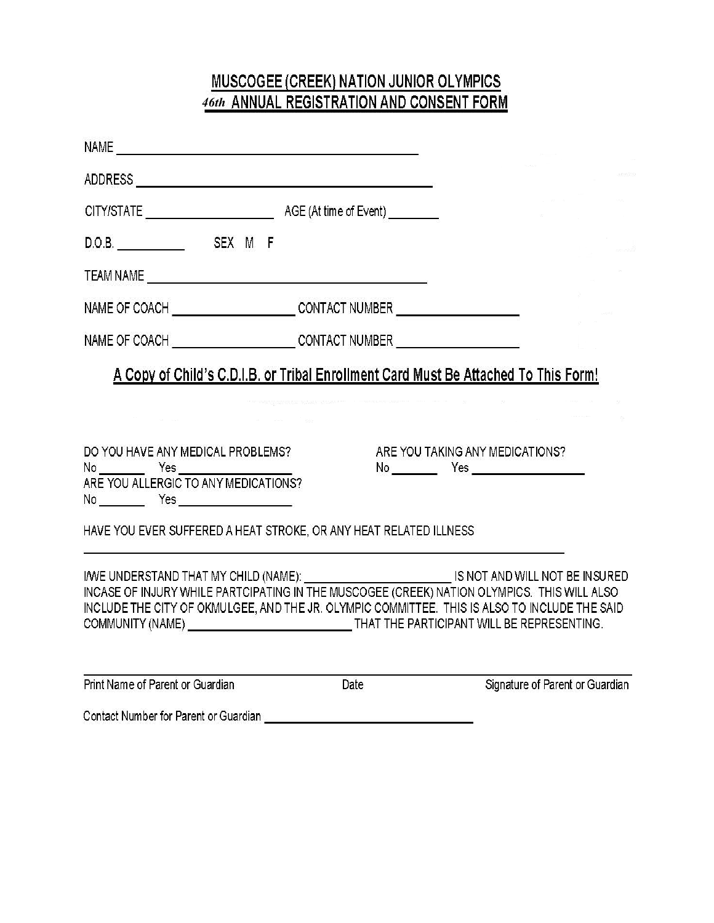# MUSCOGEE (CREEK) NATION JUNIOR OLYMPICS<br>46th\_ANNUAL REGISTRATION AND CONSENT FORM

| NAME OF COACH _________________________CONTACT NUMBER __________________________                                                                                                                                                                                                                                                                                         |      |                                 |  |
|--------------------------------------------------------------------------------------------------------------------------------------------------------------------------------------------------------------------------------------------------------------------------------------------------------------------------------------------------------------------------|------|---------------------------------|--|
| NAME OF COACH ________________________CONTACT NUMBER ___________________________                                                                                                                                                                                                                                                                                         |      |                                 |  |
| A Copy of Child's C.D.I.B. or Tribal Enrollment Card Must Be Attached To This Form!                                                                                                                                                                                                                                                                                      |      |                                 |  |
| DO YOU HAVE ANY MEDICAL PROBLEMS?<br>ARE YOU ALLERGIC TO ANY MEDICATIONS?<br>No __________ Yes ________________________                                                                                                                                                                                                                                                  |      | ARE YOU TAKING ANY MEDICATIONS? |  |
| HAVE YOU EVER SUFFERED A HEAT STROKE, OR ANY HEAT RELATED ILLNESS                                                                                                                                                                                                                                                                                                        |      |                                 |  |
| INVE UNDERSTAND THAT MY CHILD (NAME): WE ARREST AND WILL NOT BE INSURED<br>INCASE OF INJURY WHILE PARTCIPATING IN THE MUSCOGEE (CREEK) NATION OLYMPICS. THIS WILL ALSO<br>INCLUDE THE CITY OF OKMULGEE, AND THE JR. OLYMPIC COMMITTEE. THIS IS ALSO TO INCLUDE THE SAID<br>COMMUNITY (NAME) __________________________________THAT THE PARTICIPANT WILL BE REPRESENTING. |      |                                 |  |
| Print Name of Parent or Guardian                                                                                                                                                                                                                                                                                                                                         | Date | Signature of Parent or Guardian |  |
|                                                                                                                                                                                                                                                                                                                                                                          |      |                                 |  |